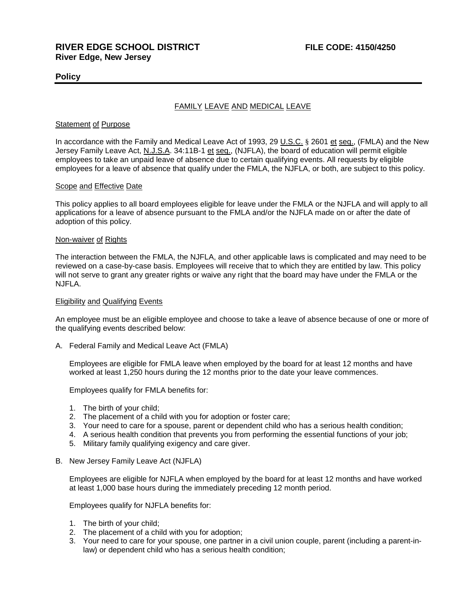# **Policy**

# FAMILY LEAVE AND MEDICAL LEAVE

#### Statement of Purpose

In accordance with the Family and Medical Leave Act of 1993, 29 U.S.C. § 2601 et seq., (FMLA) and the New Jersey Family Leave Act, N.J.S.A. 34:11B-1 et seq., (NJFLA), the board of education will permit eligible employees to take an unpaid leave of absence due to certain qualifying events. All requests by eligible employees for a leave of absence that qualify under the FMLA, the NJFLA, or both, are subject to this policy.

#### Scope and Effective Date

This policy applies to all board employees eligible for leave under the FMLA or the NJFLA and will apply to all applications for a leave of absence pursuant to the FMLA and/or the NJFLA made on or after the date of adoption of this policy.

#### Non-waiver of Rights

The interaction between the FMLA, the NJFLA, and other applicable laws is complicated and may need to be reviewed on a case-by-case basis. Employees will receive that to which they are entitled by law. This policy will not serve to grant any greater rights or waive any right that the board may have under the FMLA or the NJFLA.

#### **Eligibility and Qualifying Events**

An employee must be an eligible employee and choose to take a leave of absence because of one or more of the qualifying events described below:

A. Federal Family and Medical Leave Act (FMLA)

Employees are eligible for FMLA leave when employed by the board for at least 12 months and have worked at least 1,250 hours during the 12 months prior to the date your leave commences.

Employees qualify for FMLA benefits for:

- 1. The birth of your child;
- 2. The placement of a child with you for adoption or foster care;
- 3. Your need to care for a spouse, parent or dependent child who has a serious health condition;
- 4. A serious health condition that prevents you from performing the essential functions of your job;
- 5. Military family qualifying exigency and care giver.
- B. New Jersey Family Leave Act (NJFLA)

Employees are eligible for NJFLA when employed by the board for at least 12 months and have worked at least 1,000 base hours during the immediately preceding 12 month period.

Employees qualify for NJFLA benefits for:

- 1. The birth of your child;
- 2. The placement of a child with you for adoption;
- 3. Your need to care for your spouse, one partner in a civil union couple, parent (including a parent-inlaw) or dependent child who has a serious health condition;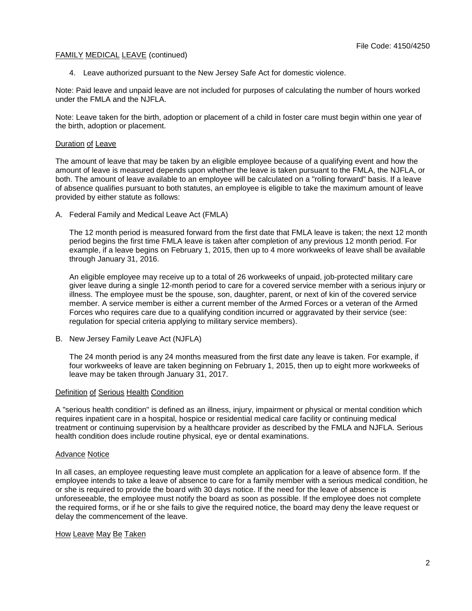4. Leave authorized pursuant to the New Jersey Safe Act for domestic violence.

Note: Paid leave and unpaid leave are not included for purposes of calculating the number of hours worked under the FMLA and the NJFLA.

Note: Leave taken for the birth, adoption or placement of a child in foster care must begin within one year of the birth, adoption or placement.

### Duration of Leave

The amount of leave that may be taken by an eligible employee because of a qualifying event and how the amount of leave is measured depends upon whether the leave is taken pursuant to the FMLA, the NJFLA, or both. The amount of leave available to an employee will be calculated on a "rolling forward" basis. If a leave of absence qualifies pursuant to both statutes, an employee is eligible to take the maximum amount of leave provided by either statute as follows:

A. Federal Family and Medical Leave Act (FMLA)

The 12 month period is measured forward from the first date that FMLA leave is taken; the next 12 month period begins the first time FMLA leave is taken after completion of any previous 12 month period. For example, if a leave begins on February 1, 2015, then up to 4 more workweeks of leave shall be available through January 31, 2016.

An eligible employee may receive up to a total of 26 workweeks of unpaid, job-protected military care giver leave during a single 12-month period to care for a covered service member with a serious injury or illness. The employee must be the spouse, son, daughter, parent, or next of kin of the covered service member. A service member is either a current member of the Armed Forces or a veteran of the Armed Forces who requires care due to a qualifying condition incurred or aggravated by their service (see: regulation for special criteria applying to military service members).

B. New Jersey Family Leave Act (NJFLA)

The 24 month period is any 24 months measured from the first date any leave is taken. For example, if four workweeks of leave are taken beginning on February 1, 2015, then up to eight more workweeks of leave may be taken through January 31, 2017.

### Definition of Serious Health Condition

A "serious health condition" is defined as an illness, injury, impairment or physical or mental condition which requires inpatient care in a hospital, hospice or residential medical care facility or continuing medical treatment or continuing supervision by a healthcare provider as described by the FMLA and NJFLA. Serious health condition does include routine physical, eye or dental examinations.

### Advance Notice

In all cases, an employee requesting leave must complete an application for a leave of absence form. If the employee intends to take a leave of absence to care for a family member with a serious medical condition, he or she is required to provide the board with 30 days notice. If the need for the leave of absence is unforeseeable, the employee must notify the board as soon as possible. If the employee does not complete the required forms, or if he or she fails to give the required notice, the board may deny the leave request or delay the commencement of the leave.

### How Leave May Be Taken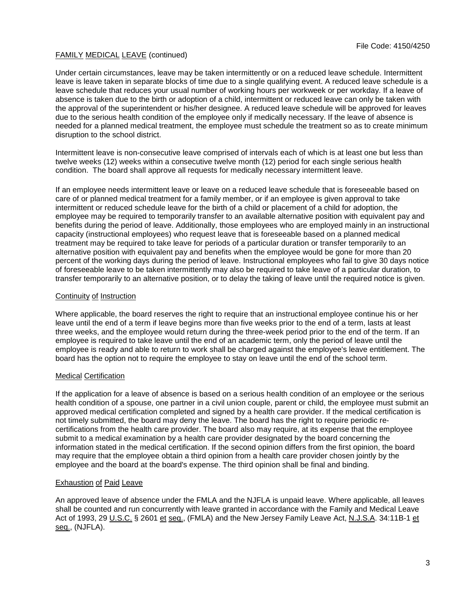Under certain circumstances, leave may be taken intermittently or on a reduced leave schedule. Intermittent leave is leave taken in separate blocks of time due to a single qualifying event. A reduced leave schedule is a leave schedule that reduces your usual number of working hours per workweek or per workday. If a leave of absence is taken due to the birth or adoption of a child, intermittent or reduced leave can only be taken with the approval of the superintendent or his/her designee. A reduced leave schedule will be approved for leaves due to the serious health condition of the employee only if medically necessary. If the leave of absence is needed for a planned medical treatment, the employee must schedule the treatment so as to create minimum disruption to the school district.

Intermittent leave is non-consecutive leave comprised of intervals each of which is at least one but less than twelve weeks (12) weeks within a consecutive twelve month (12) period for each single serious health condition. The board shall approve all requests for medically necessary intermittent leave.

If an employee needs intermittent leave or leave on a reduced leave schedule that is foreseeable based on care of or planned medical treatment for a family member, or if an employee is given approval to take intermittent or reduced schedule leave for the birth of a child or placement of a child for adoption, the employee may be required to temporarily transfer to an available alternative position with equivalent pay and benefits during the period of leave. Additionally, those employees who are employed mainly in an instructional capacity (instructional employees) who request leave that is foreseeable based on a planned medical treatment may be required to take leave for periods of a particular duration or transfer temporarily to an alternative position with equivalent pay and benefits when the employee would be gone for more than 20 percent of the working days during the period of leave. Instructional employees who fail to give 30 days notice of foreseeable leave to be taken intermittently may also be required to take leave of a particular duration, to transfer temporarily to an alternative position, or to delay the taking of leave until the required notice is given.

## Continuity of Instruction

Where applicable, the board reserves the right to require that an instructional employee continue his or her leave until the end of a term if leave begins more than five weeks prior to the end of a term, lasts at least three weeks, and the employee would return during the three-week period prior to the end of the term. If an employee is required to take leave until the end of an academic term, only the period of leave until the employee is ready and able to return to work shall be charged against the employee's leave entitlement. The board has the option not to require the employee to stay on leave until the end of the school term.

### Medical Certification

If the application for a leave of absence is based on a serious health condition of an employee or the serious health condition of a spouse, one partner in a civil union couple, parent or child, the employee must submit an approved medical certification completed and signed by a health care provider. If the medical certification is not timely submitted, the board may deny the leave. The board has the right to require periodic recertifications from the health care provider. The board also may require, at its expense that the employee submit to a medical examination by a health care provider designated by the board concerning the information stated in the medical certification. If the second opinion differs from the first opinion, the board may require that the employee obtain a third opinion from a health care provider chosen jointly by the employee and the board at the board's expense. The third opinion shall be final and binding.

# Exhaustion of Paid Leave

An approved leave of absence under the FMLA and the NJFLA is unpaid leave. Where applicable, all leaves shall be counted and run concurrently with leave granted in accordance with the Family and Medical Leave Act of 1993, 29 U.S.C. § 2601 et seq., (FMLA) and the New Jersey Family Leave Act, N.J.S.A. 34:11B-1 et seq., (NJFLA).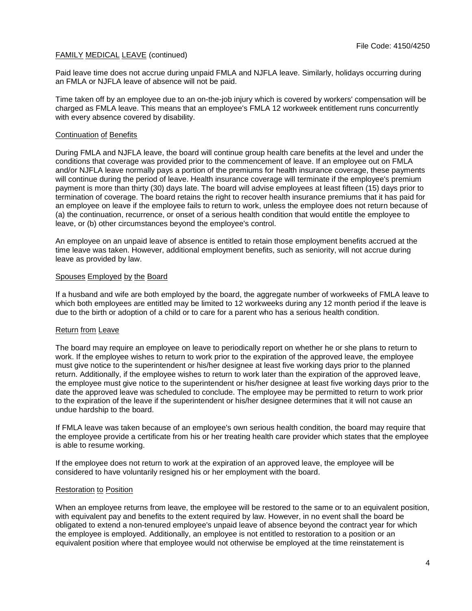Paid leave time does not accrue during unpaid FMLA and NJFLA leave. Similarly, holidays occurring during an FMLA or NJFLA leave of absence will not be paid.

Time taken off by an employee due to an on-the-job injury which is covered by workers' compensation will be charged as FMLA leave. This means that an employee's FMLA 12 workweek entitlement runs concurrently with every absence covered by disability.

### Continuation of Benefits

During FMLA and NJFLA leave, the board will continue group health care benefits at the level and under the conditions that coverage was provided prior to the commencement of leave. If an employee out on FMLA and/or NJFLA leave normally pays a portion of the premiums for health insurance coverage, these payments will continue during the period of leave. Health insurance coverage will terminate if the employee's premium payment is more than thirty (30) days late. The board will advise employees at least fifteen (15) days prior to termination of coverage. The board retains the right to recover health insurance premiums that it has paid for an employee on leave if the employee fails to return to work, unless the employee does not return because of (a) the continuation, recurrence, or onset of a serious health condition that would entitle the employee to leave, or (b) other circumstances beyond the employee's control.

An employee on an unpaid leave of absence is entitled to retain those employment benefits accrued at the time leave was taken. However, additional employment benefits, such as seniority, will not accrue during leave as provided by law.

## Spouses Employed by the Board

If a husband and wife are both employed by the board, the aggregate number of workweeks of FMLA leave to which both employees are entitled may be limited to 12 workweeks during any 12 month period if the leave is due to the birth or adoption of a child or to care for a parent who has a serious health condition.

### Return from Leave

The board may require an employee on leave to periodically report on whether he or she plans to return to work. If the employee wishes to return to work prior to the expiration of the approved leave, the employee must give notice to the superintendent or his/her designee at least five working days prior to the planned return. Additionally, if the employee wishes to return to work later than the expiration of the approved leave, the employee must give notice to the superintendent or his/her designee at least five working days prior to the date the approved leave was scheduled to conclude. The employee may be permitted to return to work prior to the expiration of the leave if the superintendent or his/her designee determines that it will not cause an undue hardship to the board.

If FMLA leave was taken because of an employee's own serious health condition, the board may require that the employee provide a certificate from his or her treating health care provider which states that the employee is able to resume working.

If the employee does not return to work at the expiration of an approved leave, the employee will be considered to have voluntarily resigned his or her employment with the board.

### Restoration to Position

When an employee returns from leave, the employee will be restored to the same or to an equivalent position, with equivalent pay and benefits to the extent required by law. However, in no event shall the board be obligated to extend a non-tenured employee's unpaid leave of absence beyond the contract year for which the employee is employed. Additionally, an employee is not entitled to restoration to a position or an equivalent position where that employee would not otherwise be employed at the time reinstatement is